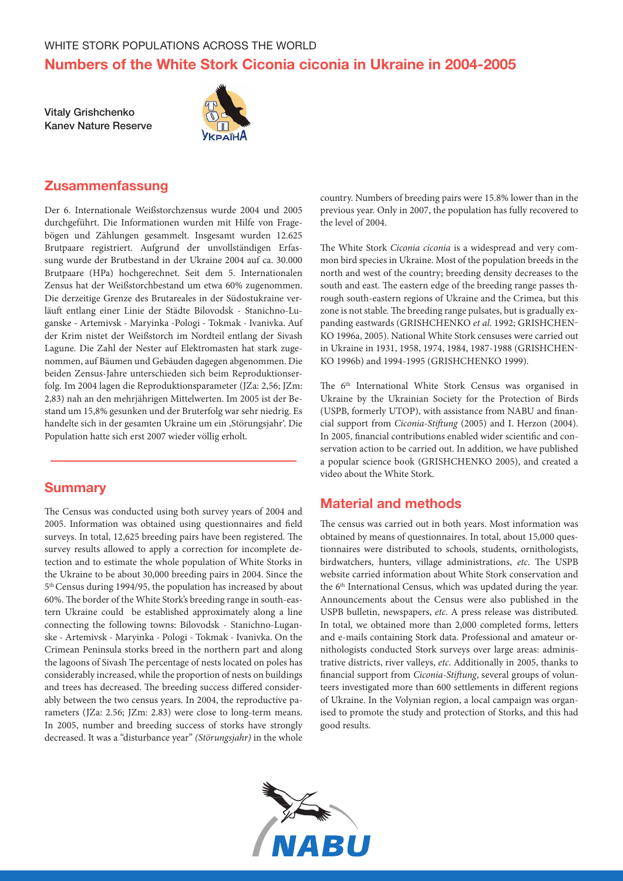Vitaly Grishchenko Kanev Nature Reserve



# **Zusammenfassung**

Der 6. Internationale Weißstorchzensus wurde 2004 und 2005 durchgeführt. Die Informationen wurden mit Hilfe von Fragebögen und Zählungen gesammelt. Insgesamt wurden 12.625 Brutpaare registriert. Aufgrund der unvollständigen Erfassung wurde der Brutbestand in der Ukraine 2004 auf ca. 30.000 Brutpaare (HPa) hochgerechnet. Seit dem 5. Internationalen Zensus hat der Weißstorchbestand um etwa 60% zugenommen. Die derzeitige Grenze des Brutareales in der Südostukraine verläuft entlang einer Linie der Städte Bilovodsk - Stanichno-Luganske - Artemivsk - Maryinka -Pologi - Tokmak - Ivanivka. Auf der Krim nistet der Weißstorch im Nordteil entlang der Sivash Lagune. Die Zahl der Nester auf Elektromasten hat stark zugenommen, auf Bäumen und Gebäuden dagegen abgenommen. Die beiden Zensus-Jahre unterschieden sich beim Reproduktionserfolg. Im 2004 lagen die Reproduktionsparameter (JZa: 2,56; JZm: 2,83) nah an den mehrjährigen Mittelwerten. Im 2005 ist der Bestand um 15,8% gesunken und der Bruterfolg war sehr niedrig. Es handelte sich in der gesamten Ukraine um ein ,Störungsjahr'. Die Population hatte sich erst 2007 wieder völlig erholt.

## **Summary**

The Census was conducted using both survey years of 2004 and 2005. Information was obtained using questionnaires and field surveys. In total, 12,625 breeding pairs have been registered. The survey results allowed to apply a correction for incomplete detection and to estimate the whole population of White Storks in the Ukraine to be about 30,000 breeding pairs in 2004. Since the 5th Census during 1994/95, the population has increased by about 60%. The border of the White Stork's breeding range in south-eastern Ukraine could be established approximately along a line connecting the following towns: Bilovodsk - Stanichno-Luganske - Artemivsk - Maryinka - Pologi - Tokmak - Ivanivka. On the Crimean Peninsula storks breed in the northern part and along the lagoons of Sivash The percentage of nests located on poles has considerably increased, while the proportion of nests on buildings and trees has decreased. The breeding success differed considerably between the two census years. In 2004, the reproductive parameters (JZa: 2.56; JZm: 2.83) were close to long-term means. In 2005, number and breeding success of storks have strongly decreased. It was a "disturbance year" *(Störungsjahr)* in the whole country. Numbers of breeding pairs were 15.8% lower than in the previous year. Only in 2007, the population has fully recovered to the level of 2004.

The White Stork *Ciconia ciconia* is a widespread and very common bird species in Ukraine. Most of the population breeds in the north and west of the country; breeding density decreases to the south and east. The eastern edge of the breeding range passes through south-eastern regions of Ukraine and the Crimea, but this zone is not stable. The breeding range pulsates, but is gradually expanding eastwards (GRISHCHENKO *et al*. 1992; GRISHCHEN-KO 1996a, 2005). National White Stork censuses were carried out in Ukraine in 1931, 1958, 1974, 1984, 1987-1988 (GRISHCHEN-KO 1996b) and 1994-1995 (GRISHCHENKO 1999).

The 6<sup>th</sup> International White Stork Census was organised in Ukraine by the Ukrainian Society for the Protection of Birds (USPB, formerly UTOP), with assistance from NABU and financial support from *Ciconia-Stiftung* (2005) and I. Herzon (2004). In 2005, financial contributions enabled wider scientific and conservation action to be carried out. In addition, we have published a popular science book (GRISHCHENKO 2005), and created a video about the White Stork.

# Material and methods

The census was carried out in both years. Most information was obtained by means of questionnaires. In total, about 15,000 questionnaires were distributed to schools, students, ornithologists, birdwatchers, hunters, village administrations, *etc*. The USPB website carried information about White Stork conservation and the 6<sup>th</sup> International Census, which was updated during the year. Announcements about the Census were also published in the USPB bulletin, newspapers, *etc*. A press release was distributed. In total, we obtained more than 2,000 completed forms, letters and e-mails containing Stork data. Professional and amateur ornithologists conducted Stork surveys over large areas: administrative districts, river valleys, *etc*. Additionally in 2005, thanks to financial support from *Ciconia-Stiftung*, several groups of volunteers investigated more than 600 settlements in different regions of Ukraine. In the Volynian region, a local campaign was organised to promote the study and protection of Storks, and this had good results.

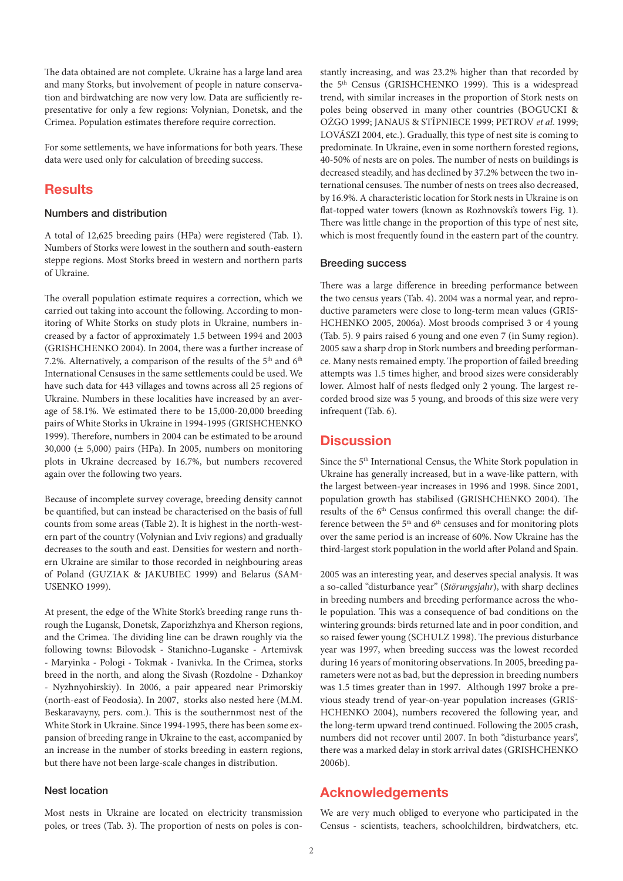The data obtained are not complete. Ukraine has a large land area and many Storks, but involvement of people in nature conservation and birdwatching are now very low. Data are sufficiently representative for only a few regions: Volynian, Donetsk, and the Crimea. Population estimates therefore require correction.

For some settlements, we have informations for both years. These data were used only for calculation of breeding success.

## **Results**

### Numbers and distribution

A total of 12,625 breeding pairs (HPa) were registered (Tab. 1). Numbers of Storks were lowest in the southern and south-eastern steppe regions. Most Storks breed in western and northern parts of Ukraine.

The overall population estimate requires a correction, which we carried out taking into account the following. According to monitoring of White Storks on study plots in Ukraine, numbers increased by a factor of approximately 1.5 between 1994 and 2003 (GRISHCHENKO 2004). In 2004, there was a further increase of 7.2%. Alternatively, a comparison of the results of the  $5<sup>th</sup>$  and  $6<sup>th</sup>$ International Censuses in the same settlements could be used. We have such data for 443 villages and towns across all 25 regions of Ukraine. Numbers in these localities have increased by an average of 58.1%. We estimated there to be 15,000-20,000 breeding pairs of White Storks in Ukraine in 1994-1995 (GRISHCHENKO 1999). Therefore, numbers in 2004 can be estimated to be around 30,000 (± 5,000) pairs (HPa). In 2005, numbers on monitoring plots in Ukraine decreased by 16.7%, but numbers recovered again over the following two years.

Because of incomplete survey coverage, breeding density cannot be quantified, but can instead be characterised on the basis of full counts from some areas (Table 2). It is highest in the north-western part of the country (Volynian and Lviv regions) and gradually decreases to the south and east. Densities for western and northern Ukraine are similar to those recorded in neighbouring areas of Poland (GUZIAK & JAKUBIEC 1999) and Belarus (SAM-USENKO 1999).

At present, the edge of the White Stork's breeding range runs through the Lugansk, Donetsk, Zaporizhzhya and Kherson regions, and the Crimea. The dividing line can be drawn roughly via the following towns: Bilovodsk - Stanichno-Luganske - Artemivsk - Maryinka - Pologi - Tokmak - Ivanivka. In the Crimea, storks breed in the north, and along the Sivash (Rozdolne - Dzhankoy - Nyzhnyohirskiy). In 2006, a pair appeared near Primorskiy (north-east of Feodosia). In 2007, storks also nested here (M.M. Beskaravayny, pers. com.). This is the southernmost nest of the White Stork in Ukraine. Since 1994-1995, there has been some expansion of breeding range in Ukraine to the east, accompanied by an increase in the number of storks breeding in eastern regions, but there have not been large-scale changes in distribution.

### Nest location

Most nests in Ukraine are located on electricity transmission poles, or trees (Tab. 3). The proportion of nests on poles is constantly increasing, and was 23.2% higher than that recorded by the 5<sup>th</sup> Census (GRISHCHENKO 1999). This is a widespread trend, with similar increases in the proportion of Stork nests on poles being observed in many other countries (BOGUCKI & OŻGO 1999; JANAUS & STĪPNIECE 1999; PETROV *et al*. 1999; LOVÁSZI 2004, etc.). Gradually, this type of nest site is coming to predominate. In Ukraine, even in some northern forested regions, 40-50% of nests are on poles. The number of nests on buildings is decreased steadily, and has declined by 37.2% between the two international censuses. The number of nests on trees also decreased, by 16.9%. A characteristic location for Stork nests in Ukraine is on flat-topped water towers (known as Rozhnovski's towers Fig. 1). There was little change in the proportion of this type of nest site, which is most frequently found in the eastern part of the country.

#### Breeding success

There was a large difference in breeding performance between the two census years (Tab. 4). 2004 was a normal year, and reproductive parameters were close to long-term mean values (GRIS-HCHENKO 2005, 2006a). Most broods comprised 3 or 4 young (Tab. 5). 9 pairs raised 6 young and one even 7 (in Sumy region). 2005 saw a sharp drop in Stork numbers and breeding performance. Many nests remained empty. The proportion of failed breeding attempts was 1.5 times higher, and brood sizes were considerably lower. Almost half of nests fledged only 2 young. The largest recorded brood size was 5 young, and broods of this size were very infrequent (Tab. 6).

### **Discussion**

Since the 5<sup>th</sup> International Census, the White Stork population in Ukraine has generally increased, but in a wave-like pattern, with the largest between-year increases in 1996 and 1998. Since 2001, population growth has stabilised (GRISHCHENKO 2004). The results of the 6<sup>th</sup> Census confirmed this overall change: the difference between the  $5<sup>th</sup>$  and  $6<sup>th</sup>$  censuses and for monitoring plots over the same period is an increase of 60%. Now Ukraine has the third-largest stork population in the world after Poland and Spain.

2005 was an interesting year, and deserves special analysis. It was a so-called "disturbance year" (*Störungsjahr*), with sharp declines in breeding numbers and breeding performance across the whole population. This was a consequence of bad conditions on the wintering grounds: birds returned late and in poor condition, and so raised fewer young (SCHULZ 1998). The previous disturbance year was 1997, when breeding success was the lowest recorded during 16 years of monitoring observations. In 2005, breeding parameters were not as bad, but the depression in breeding numbers was 1.5 times greater than in 1997. Although 1997 broke a previous steady trend of year-on-year population increases (GRIS-HCHENKO 2004), numbers recovered the following year, and the long-term upward trend continued. Following the 2005 crash, numbers did not recover until 2007. In both "disturbance years", there was a marked delay in stork arrival dates (GRISHCHENKO 2006b).

### Acknowledgements

We are very much obliged to everyone who participated in the Census - scientists, teachers, schoolchildren, birdwatchers, etc.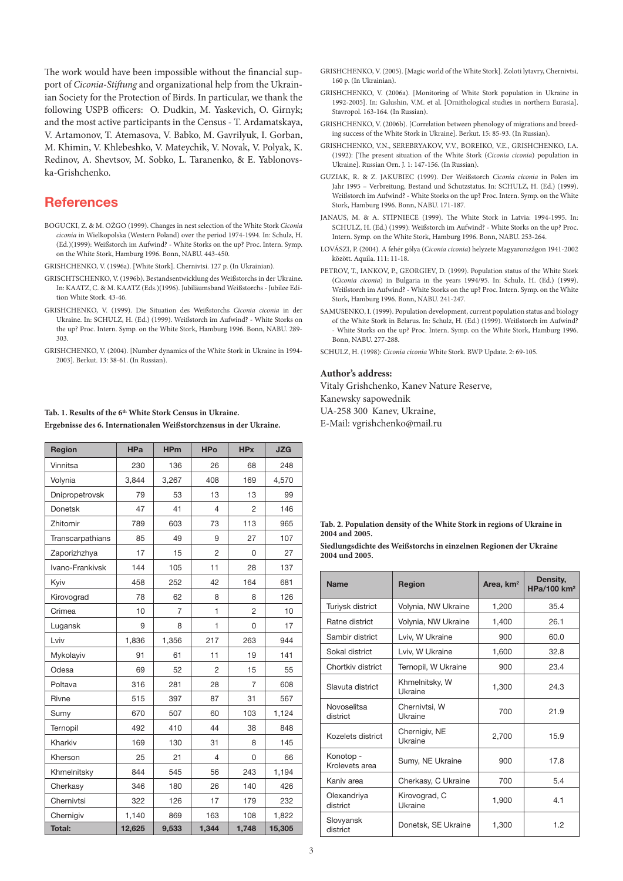The work would have been impossible without the financial support of *Ciconia-Stiftung* and organizational help from the Ukrainian Society for the Protection of Birds. In particular, we thank the following USPB officers: O. Dudkin, M. Yaskevich, O. Girnyk; and the most active participants in the Census - T. Ardamatskaya, V. Artamonov, T. Atemasova, V. Babko, M. Gavrilyuk, I. Gorban, M. Khimin, V. Khlebeshko, V. Mateychik, V. Novak, V. Polyak, K. Redinov, A. Shevtsov, M. Sobko, L. Taranenko, & E. Yablonovska-Grishchenko.

## **References**

BOGUCKI, Z. & M. OŻGO (1999). Changes in nest selection of the White Stork *Ciconia ciconia* in Wielkopolska (Western Poland) over the period 1974-1994. In: Schulz, H. (Ed.)(1999): Weißstorch im Aufwind? - White Storks on the up? Proc. Intern. Symp. on the White Stork, Hamburg 1996. Bonn, NABU. 443-450.

GRISHCHENKO, V. (1996a). [White Stork]. Chernivtsi. 127 p. (In Ukrainian).

- GRISCHTSCHENKO, V. (1996b). Bestandsentwicklung des Weißstorchs in der Ukraine. In: KAATZ, C. & M. KAATZ (Eds.)(1996). Jubiläumsband Weißstorchs - Jubilee Edition White Stork. 43-46.
- GRISHCHENKO, V. (1999). Die Situation des Weißstorchs *Ciconia ciconia* in der Ukraine. In: SCHULZ, H. (Ed.) (1999). Weißstorch im Aufwind? - White Storks on the up? Proc. Intern. Symp. on the White Stork, Hamburg 1996. Bonn, NABU. 289- 303.
- GRISHCHENKO, V. (2004). [Number dynamics of the White Stork in Ukraine in 1994- 2003]. Berkut. 13: 38-61. (In Russian).

#### **Tab. 1. Results of the 6th White Stork Census in Ukraine. Ergebnisse des 6. Internationalen Weißstorchzensus in der Ukraine.**

| Region           | <b>HPa</b> | <b>HPm</b>     | <b>HPo</b>     | <b>HPx</b>     | <b>JZG</b> |
|------------------|------------|----------------|----------------|----------------|------------|
| Vinnitsa         | 230        | 136            | 26             | 68             | 248        |
| Volynia          | 3,844      | 3,267          | 408            | 169            | 4,570      |
| Dnipropetrovsk   | 79         | 53             | 13             | 13             | 99         |
| <b>Donetsk</b>   | 47         | 41             | 4              | 2              | 146        |
| Zhitomir         | 789        | 603            | 73             | 113            | 965        |
| Transcarpathians | 85         | 49             | 9              | 27             | 107        |
| Zaporizhzhya     | 17         | 15             | $\overline{c}$ | 0              | 27         |
| Ivano-Frankivsk  | 144        | 105            | 11             | 28             | 137        |
| Kyiv             | 458        | 252            | 42             | 164            | 681        |
| Kirovograd       | 78         | 62             | 8              | 8              | 126        |
| Crimea           | 10         | $\overline{7}$ | 1              | $\overline{c}$ | 10         |
| Lugansk          | 9          | 8              | 1              | 0              | 17         |
| Lviv             | 1,836      | 1,356          | 217            | 263            | 944        |
| Mykolayiv        | 91         | 61             | 11             | 19             | 141        |
| Odesa            | 69         | 52             | $\overline{2}$ | 15             | 55         |
| Poltava          | 316        | 281            | 28             | 7              | 608        |
| Rivne            | 515        | 397            | 87             | 31             | 567        |
| Sumy             | 670        | 507            | 60             | 103            | 1,124      |
| Ternopil         | 492        | 410            | 44             | 38             | 848        |
| Kharkiv          | 169        | 130            | 31             | 8              | 145        |
| Kherson          | 25         | 21             | 4              | 0              | 66         |
| Khmelnitsky      | 844        | 545            | 56             | 243            | 1,194      |
| Cherkasy         | 346        | 180            | 26             | 140            | 426        |
| Chernivtsi       | 322        | 126            | 17             | 179            | 232        |
| Chernigiv        | 1,140      | 869            | 163            | 108            | 1,822      |
| <b>Total:</b>    | 12,625     | 9,533          | 1,344          | 1,748          | 15,305     |

- GRISHCHENKO, V. (2005). [Magic world of the White Stork]. Zoloti lytavry, Chernivtsi. 160 p. (In Ukrainian).
- GRISHCHENKO, V. (2006a). [Monitoring of White Stork population in Ukraine in 1992-2005]. In: Galushin, V.M. et al. [Ornithological studies in northern Eurasia]. Stavropol. 163-164. (In Russian).
- GRISHCHENKO, V. (2006b). [Correlation between phenology of migrations and breeding success of the White Stork in Ukraine]. Berkut. 15: 85-93. (In Russian).
- GRISHCHENKO, V.N., SEREBRYAKOV, V.V., BOREIKO, V.E., GRISHCHENKO, I.A. (1992): [The present situation of the White Stork (*Ciconia ciconia*) population in Ukraine]. Russian Orn. J. 1: 147-156. (In Russian).
- GUZIAK, R. & Z. JAKUBIEC (1999). Der Weißstorch *Ciconia ciconia* in Polen im Jahr 1995 – Verbreitung, Bestand und Schutzstatus. In: SCHULZ, H. (Ed.) (1999). Weißstorch im Aufwind? - White Storks on the up? Proc. Intern. Symp. on the White Stork, Hamburg 1996. Bonn, NABU. 171-187.
- JANAUS, M. & A. STĪPNIECE (1999). The White Stork in Latvia: 1994-1995. In: SCHULZ, H. (Ed.) (1999): Weißstorch im Aufwind? - White Storks on the up? Proc. Intern. Symp. on the White Stork, Hamburg 1996. Bonn, NABU. 253-264.
- LOVÁSZI, P. (2004). A fehér gólya (*Ciconia ciconia*) helyzete Magyarországon 1941-2002 között. Aquila. 111: 11-18.
- PETROV, T., IANKOV, P., GEORGIEV, D. (1999). Population status of the White Stork (*Ciconia ciconia*) in Bulgaria in the years 1994/95. In: Schulz, H. (Ed.) (1999). Weißstorch im Aufwind? - White Storks on the up? Proc. Intern. Symp. on the White Stork, Hamburg 1996. Bonn, NABU. 241-247.
- SAMUSENKO, I. (1999). Population development, current population status and biology of the White Stork in Belarus. In: Schulz, H. (Ed.) (1999). Weißstorch im Aufwind? - White Storks on the up? Proc. Intern. Symp. on the White Stork, Hamburg 1996. Bonn, NABU. 277-288.

SCHULZ, H. (1998): *Ciconia ciconia* White Stork. BWP Update. 2: 69-105.

#### **Author's address:**

Vitaly Grishchenko, Kanev Nature Reserve, Kanewsky sapowednik UA-258 300 Kanev, Ukraine,

E-Mail: vgrishchenko@mail.ru

**Siedlungsdichte des Weißstorchs in einzelnen Regionen der Ukraine 2004 und 2005.**

| <b>Name</b>                 | <b>Region</b>             | Area, km <sup>2</sup> | Density,<br>HPa/100 km <sup>2</sup> |  |
|-----------------------------|---------------------------|-----------------------|-------------------------------------|--|
| Turiysk district            | Volynia, NW Ukraine       | 1,200                 | 35.4                                |  |
| Ratne district              | Volynia, NW Ukraine       | 1,400                 | 26.1                                |  |
| Sambir district             | Lviv, W Ukraine           | 900                   | 60.0                                |  |
| Sokal district              | Lviv. W Ukraine           | 1,600                 | 32.8                                |  |
| Chortkiy district           | Ternopil, W Ukraine       | 900                   | 23.4                                |  |
| Slavuta district            | Khmelnitsky, W<br>Ukraine | 1,300                 | 24.3                                |  |
| Novoselitsa<br>district     | Chernivtsi, W<br>Ukraine  | 700                   | 21.9                                |  |
| Kozelets district           | Chernigiv, NE<br>Ukraine  | 2,700                 | 15.9                                |  |
| Konotop -<br>Krolevets area | Sumy, NE Ukraine          | 900                   | 17.8                                |  |
| Kaniv area                  | Cherkasy, C Ukraine       | 700                   | 5.4                                 |  |
| Olexandriya<br>district     | Kirovograd, C<br>Ukraine  | 1,900                 | 4.1                                 |  |
| Slovyansk<br>district       | Donetsk, SE Ukraine       | 1,300                 | 1.2                                 |  |

**Tab. 2. Population density of the White Stork in regions of Ukraine in 2004 and 2005.**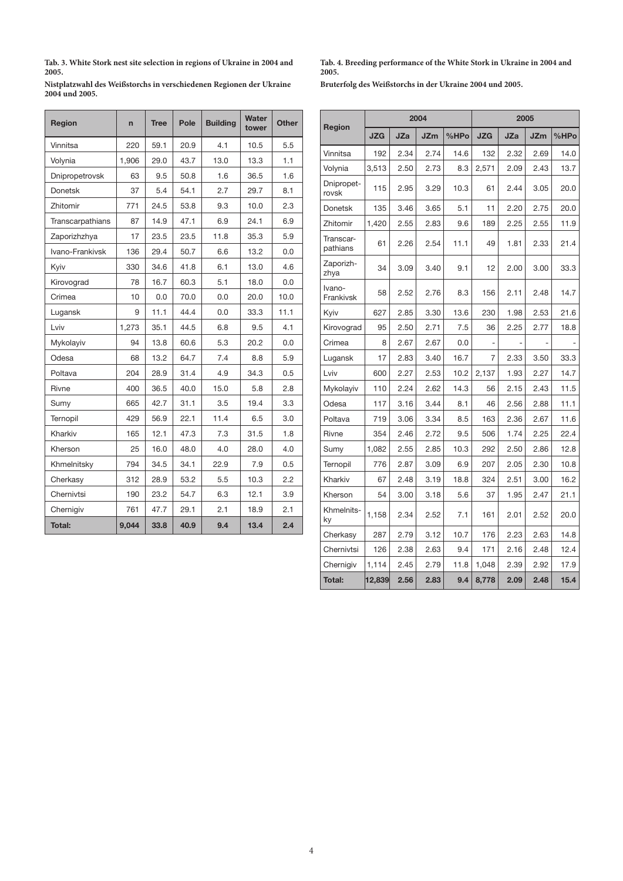**Tab. 3. White Stork nest site selection in regions of Ukraine in 2004 and 2005.**

**Nistplatzwahl des Weißstorchs in verschiedenen Regionen der Ukraine 2004 und 2005.**

| Region           | $\overline{ }$ | <b>Tree</b> | Pole | <b>Building</b> | Water<br>tower | <b>Other</b> |
|------------------|----------------|-------------|------|-----------------|----------------|--------------|
| Vinnitsa         | 220            | 59.1        | 20.9 | 4.1             | 10.5           | 5.5          |
| Volynia          | 1,906          | 29.0        | 43.7 | 13.0            | 13.3           | 1.1          |
| Dnipropetrovsk   | 63             | 9.5         | 50.8 | 1.6             | 36.5           | 1.6          |
| <b>Donetsk</b>   | 37             | 5.4         | 54.1 | 2.7             | 29.7           | 8.1          |
| Zhitomir         | 771            | 24.5        | 53.8 | 9.3             | 10.0           | 2.3          |
| Transcarpathians | 87             | 14.9        | 47.1 | 6.9             | 24.1           | 6.9          |
| Zaporizhzhya     | 17             | 23.5        | 23.5 | 11.8            | 35.3           | 5.9          |
| Ivano-Frankivsk  | 136            | 29.4        | 50.7 | 6.6             | 13.2           | 0.0          |
| Kyiv             | 330            | 34.6        | 41.8 | 6.1             | 13.0           | 4.6          |
| Kirovograd       | 78             | 16.7        | 60.3 | 5.1             | 18.0           | 0.0          |
| Crimea           | 10             | 0.0         | 70.0 | 0.0             | 20.0           | 10.0         |
| Lugansk          | 9              | 11.1        | 44.4 | 0.0             | 33.3           | 11.1         |
| Lviv             | 1,273          | 35.1        | 44.5 | 6.8             | 9.5            | 4.1          |
| Mykolayiv        | 94             | 13.8        | 60.6 | 5.3             | 20.2           | 0.0          |
| Odesa            | 68             | 13.2        | 64.7 | 7.4             | 8.8            | 5.9          |
| Poltava          | 204            | 28.9        | 31.4 | 4.9             | 34.3           | 0.5          |
| Rivne            | 400            | 36.5        | 40.0 | 15.0            | 5.8            | 2.8          |
| Sumy             | 665            | 42.7        | 31.1 | 3.5             | 19.4           | 3.3          |
| Ternopil         | 429            | 56.9        | 22.1 | 11.4            | 6.5            | 3.0          |
| Kharkiv          | 165            | 12.1        | 47.3 | 7.3             | 31.5           | 1.8          |
| Kherson          | 25             | 16.0        | 48.0 | 4.0             | 28.0           | 4.0          |
| Khmelnitsky      | 794            | 34.5        | 34.1 | 22.9            | 7.9            | 0.5          |
| Cherkasy         | 312            | 28.9        | 53.2 | 5.5             | 10.3           | 2.2          |
| Chernivtsi       | 190            | 23.2        | 54.7 | 6.3             | 12.1           | 3.9          |
| Chernigiv        | 761            | 47.7        | 29.1 | 2.1             | 18.9           | 2.1          |
| <b>Total:</b>    | 9,044          | 33.8        | 40.9 | 9.4             | 13.4           | 2.4          |

**Tab. 4. Breeding performance of the White Stork in Ukraine in 2004 and 2005.**

**Bruterfolg des Weißstorchs in der Ukraine 2004 und 2005.**

|                       |            |            | 2004       |      | 2005       |            |            |      |
|-----------------------|------------|------------|------------|------|------------|------------|------------|------|
| Region                | <b>JZG</b> | <b>JZa</b> | <b>JZm</b> | %HPo | <b>JZG</b> | <b>JZa</b> | <b>JZm</b> | %HPo |
| Vinnitsa              | 192        | 2.34       | 2.74       | 14.6 | 132        | 2.32       | 2.69       | 14.0 |
| Volynia               | 3,513      | 2.50       | 2.73       | 8.3  | 2,571      | 2.09       | 2.43       | 13.7 |
| Dnipropet-<br>rovsk   | 115        | 2.95       | 3.29       | 10.3 | 61         | 2.44       | 3.05       | 20.0 |
| <b>Donetsk</b>        | 135        | 3.46       | 3.65       | 5.1  | 11         | 2.20       | 2.75       | 20.0 |
| Zhitomir              | 1,420      | 2.55       | 2.83       | 9.6  | 189        | 2.25       | 2.55       | 11.9 |
| Transcar-<br>pathians | 61         | 2.26       | 2.54       | 11.1 | 49         | 1.81       | 2.33       | 21.4 |
| Zaporizh-<br>zhya     | 34         | 3.09       | 3.40       | 9.1  | 12         | 2.00       | 3.00       | 33.3 |
| Ivano-<br>Frankivsk   | 58         | 2.52       | 2.76       | 8.3  | 156        | 2.11       | 2.48       | 14.7 |
| Kyiv                  | 627        | 2.85       | 3.30       | 13.6 | 230        | 1.98       | 2.53       | 21.6 |
| Kirovograd            | 95         | 2.50       | 2.71       | 7.5  | 36         | 2.25       | 2.77       | 18.8 |
| Crimea                | 8          | 2.67       | 2.67       | 0.0  |            |            |            |      |
| Lugansk               | 17         | 2.83       | 3.40       | 16.7 | 7          | 2.33       | 3.50       | 33.3 |
| Lviv                  | 600        | 2.27       | 2.53       | 10.2 | 2,137      | 1.93       | 2.27       | 14.7 |
| Mykolayiv             | 110        | 2.24       | 2.62       | 14.3 | 56         | 2.15       | 2.43       | 11.5 |
| Odesa                 | 117        | 3.16       | 3.44       | 8.1  | 46         | 2.56       | 2.88       | 11.1 |
| Poltava               | 719        | 3.06       | 3.34       | 8.5  | 163        | 2.36       | 2.67       | 11.6 |
| Rivne                 | 354        | 2.46       | 2.72       | 9.5  | 506        | 1.74       | 2.25       | 22.4 |
| Sumy                  | 1,082      | 2.55       | 2.85       | 10.3 | 292        | 2.50       | 2.86       | 12.8 |
| Ternopil              | 776        | 2.87       | 3.09       | 6.9  | 207        | 2.05       | 2.30       | 10.8 |
| Kharkiv               | 67         | 2.48       | 3.19       | 18.8 | 324        | 2.51       | 3.00       | 16.2 |
| Kherson               | 54         | 3.00       | 3.18       | 5.6  | 37         | 1.95       | 2.47       | 21.1 |
| Khmelnits-<br>ky      | 1,158      | 2.34       | 2.52       | 7.1  | 161        | 2.01       | 2.52       | 20.0 |
| Cherkasy              | 287        | 2.79       | 3.12       | 10.7 | 176        | 2.23       | 2.63       | 14.8 |
| Chernivtsi            | 126        | 2.38       | 2.63       | 9.4  | 171        | 2.16       | 2.48       | 12.4 |
| Chernigiv             | 1,114      | 2.45       | 2.79       | 11.8 | 1,048      | 2.39       | 2.92       | 17.9 |
| Total:                | 12,839     | 2.56       | 2.83       | 9.4  | 8,778      | 2.09       | 2.48       | 15.4 |